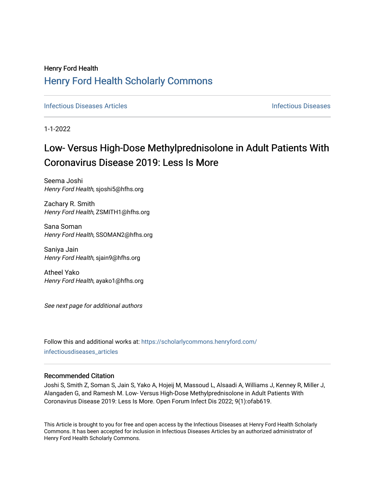# Henry Ford Health [Henry Ford Health Scholarly Commons](https://scholarlycommons.henryford.com/)

**[Infectious Diseases](https://scholarlycommons.henryford.com/infectiousdiseases) Articles** Infectious Diseases

1-1-2022

# Low- Versus High-Dose Methylprednisolone in Adult Patients With Coronavirus Disease 2019: Less Is More

Seema Joshi Henry Ford Health, sjoshi5@hfhs.org

Zachary R. Smith Henry Ford Health, ZSMITH1@hfhs.org

Sana Soman Henry Ford Health, SSOMAN2@hfhs.org

Saniya Jain Henry Ford Health, sjain9@hfhs.org

Atheel Yako Henry Ford Health, ayako1@hfhs.org

See next page for additional authors

Follow this and additional works at: [https://scholarlycommons.henryford.com/](https://scholarlycommons.henryford.com/infectiousdiseases_articles?utm_source=scholarlycommons.henryford.com%2Finfectiousdiseases_articles%2F169&utm_medium=PDF&utm_campaign=PDFCoverPages) [infectiousdiseases\\_articles](https://scholarlycommons.henryford.com/infectiousdiseases_articles?utm_source=scholarlycommons.henryford.com%2Finfectiousdiseases_articles%2F169&utm_medium=PDF&utm_campaign=PDFCoverPages) 

# Recommended Citation

Joshi S, Smith Z, Soman S, Jain S, Yako A, Hojeij M, Massoud L, Alsaadi A, Williams J, Kenney R, Miller J, Alangaden G, and Ramesh M. Low- Versus High-Dose Methylprednisolone in Adult Patients With Coronavirus Disease 2019: Less Is More. Open Forum Infect Dis 2022; 9(1):ofab619.

This Article is brought to you for free and open access by the Infectious Diseases at Henry Ford Health Scholarly Commons. It has been accepted for inclusion in Infectious Diseases Articles by an authorized administrator of Henry Ford Health Scholarly Commons.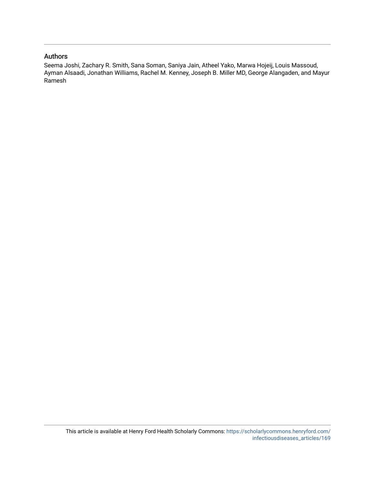# Authors

Seema Joshi, Zachary R. Smith, Sana Soman, Saniya Jain, Atheel Yako, Marwa Hojeij, Louis Massoud, Ayman Alsaadi, Jonathan Williams, Rachel M. Kenney, Joseph B. Miller MD, George Alangaden, and Mayur Ramesh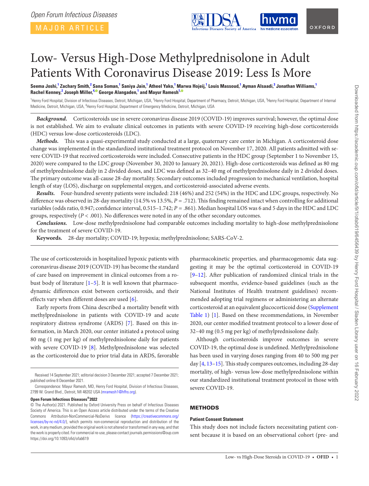MAJOR ARTICLE

<span id="page-2-2"></span>

# Low- Versus High-Dose Methylprednisolone in Adult Patients With Coronavirus Disease 2019: Less Is More

Seema Joshi,<sup>[1](#page-2-0)</sup> Zachary Smith,<sup>[2](#page-2-1)</sup> Sana Soman,<sup>1</sup> Saniya Jain,<sup>1</sup> Atheel Yako,<sup>1</sup> Marwa Hojeij,<sup>1</sup> Louis Massoud,<sup>1</sup> Ayman Alsaadi,<sup>[3](#page-2-2)</sup> Jonathan Williams,<sup>1</sup> **Rachel Kenney, [2](#page-2-1) Joseph Miller, [4](#page-2-3)[,](https://orcid.org/0000-0002-9451-1359) George Alangaden, [1](#page-2-0) and Mayur Ramesh[1](#page-2-0)[,](https://orcid.org/0000-0002-1677-3994)**

<span id="page-2-3"></span><span id="page-2-1"></span><span id="page-2-0"></span><sup>1</sup>Henry Ford Hospital, Division of Infectious Diseases, Detroit, Michigan, USA, <sup>2</sup>Henry Ford Hospital, Department of Pharmacy, Detroit, Michigan, USA, <sup>3</sup>Henry Ford Hospital, Department of Internal Medicine, Detroit, Michigan, USA, <sup>4</sup>Henry Ford Hospital, Department of Emergency Medicine, Detroit, Michigan, USA

*Background.* Corticosteroids use in severe coronavirus disease 2019 (COVID-19) improves survival; however, the optimal dose is not established. We aim to evaluate clinical outcomes in patients with severe COVID-19 receiving high-dose corticosteroids (HDC) versus low-dose corticosteroids (LDC).

*Methods.* This was a quasi-experimental study conducted at a large, quaternary care center in Michigan. A corticosteroid dose change was implemented in the standardized institutional treatment protocol on November 17, 2020. All patients admitted with severe COVID-19 that received corticosteroids were included. Consecutive patients in the HDC group (September 1 to November 15, 2020) were compared to the LDC group (November 30, 2020 to January 20, 2021). High-dose corticosteroids was defined as 80 mg of methylprednisolone daily in 2 divided doses, and LDC was defined as 32–40 mg of methylprednisolone daily in 2 divided doses. The primary outcome was all-cause 28-day mortality. Secondary outcomes included progression to mechanical ventilation, hospital length of stay (LOS), discharge on supplemental oxygen, and corticosteroid-associated adverse events.

*Results.* Four-hundred seventy patients were included: 218 (46%) and 252 (54%) in the HDC and LDC groups, respectively. No difference was observed in 28-day mortality (14.5% vs 13.5%, *P* = .712). This finding remained intact when controlling for additional variables (odds ratio, 0.947; confidence interval, 0.515–1.742; *P* = .861). Median hospital LOS was 6 and 5 days in the HDC and LDC groups, respectively (*P* < .001). No differences were noted in any of the other secondary outcomes.

*Conclusions.* Low-dose methylprednisolone had comparable outcomes including mortality to high-dose methylprednisolone for the treatment of severe COVID-19.

**Keywords.** 28-day mortality; COVID-19; hypoxia; methylprednisolone; SARS-CoV-2.

The use of corticosteroids in hospitalized hypoxic patients with coronavirus disease 2019 (COVID-19) has become the standard of care based on improvement in clinical outcomes from a robust body of literature  $[1-5]$  $[1-5]$  $[1-5]$ . It is well known that pharmacodynamic differences exist between corticosteroids, and their effects vary when different doses are used [[6](#page-5-2)].

Early reports from China described a mortality benefit with methylprednisolone in patients with COVID-19 and acute respiratory distress syndrome (ARDS) [[7](#page-5-3)]. Based on this information, in March 2020, our center initiated a protocol using 80 mg (1 mg per kg) of methylprednisolone daily for patients with severe COVID-19 [\[8\]](#page-5-4). Methylprednisolone was selected as the corticosteroid due to prior trial data in ARDS, favorable

#### **Open Forum Infectious Diseases®2022**

pharmacokinetic properties, and pharmacogenomic data suggesting it may be the optimal corticosteroid in COVID-19 [\[9–](#page-6-0)[12\]](#page-6-1). After publication of randomized clinical trials in the subsequent months, evidence-based guidelines (such as the National Institutes of Health treatment guidelines) recommended adopting trial regimens or administering an alternate corticosteroid at an equivalent glucocorticoid dose ([Supplement](http://academic.oup.com/ofid/article-lookup/doi/10.1093/ofid/ofab619#supplementary-data)  [Table 1](http://academic.oup.com/ofid/article-lookup/doi/10.1093/ofid/ofab619#supplementary-data)) [\[1\]](#page-5-0). Based on these recommendations, in November 2020, our center modified treatment protocol to a lower dose of 32–40 mg (0.5 mg per kg) of methylprednisolone daily.

Although corticosteroids improve outcomes in severe COVID-19, the optimal dose is undefined. Methylprednisolone has been used in varying doses ranging from 40 to 500 mg per day [\[4,](#page-5-5) [13–](#page-6-2)[15\]](#page-6-3). This study compares outcomes, including 28-day mortality, of high- versus low-dose methylprednisolone within our standardized institutional treatment protocol in those with severe COVID-19.

# **METHODS**

#### **Patient Consent Statement**

This study does not include factors necessitating patient consent because it is based on an observational cohort (pre- and

Received 14 September 2021; editorial decision 3 December 2021; accepted 7 December 2021; published online 8 December 2021.

Correspondence: Mayur Ramesh, MD, Henry Ford Hospital, Division of Infectious Diseases, 2799 W. Grand Blvd., Detroit, MI 48202 USA ([mramesh1@hfhs.org](mailto:mramesh1@hfhs.org)).

<sup>©</sup> The Author(s) 2021. Published by Oxford University Press on behalf of Infectious Diseases Society of America. This is an Open Access article distributed under the terms of the Creative Commons Attribution-NonCommercial-NoDerivs licence ([https://creativecommons.org/](https://creativecommons.org/licenses/by-nc-nd/4.0/) [licenses/by-nc-nd/4.0/](https://creativecommons.org/licenses/by-nc-nd/4.0/)), which permits non-commercial reproduction and distribution of the work, in any medium, provided the original work is not altered or transformed in any way, and that the work is properly cited. For commercial re-use, please contact journals.permissions@oup.com https://doi.org/10.1093/ofid/ofab619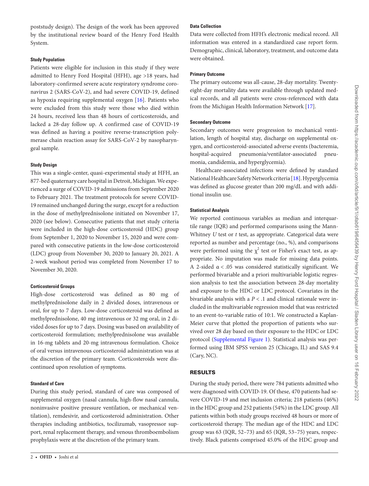poststudy design). The design of the work has been approved by the institutional review board of the Henry Ford Health System.

#### **Study Population**

Patients were eligible for inclusion in this study if they were admitted to Henry Ford Hospital (HFH), age >18 years, had laboratory-confirmed severe acute respiratory syndrome coronavirus 2 (SARS-CoV-2), and had severe COVID-19, defined as hypoxia requiring supplemental oxygen [\[16\]](#page-6-4). Patients who were excluded from this study were those who died within 24 hours, received less than 48 hours of corticosteroids, and lacked a 28-day follow up. A confirmed case of COVID-19 was defined as having a positive reverse-transcription polymerase chain reaction assay for SARS-CoV-2 by nasopharyngeal sample.

#### **Study Design**

This was a single-center, quasi-experimental study at HFH, an 877-bed quaternary care hospital in Detroit, Michigan. We experienced a surge of COVID-19 admissions from September 2020 to February 2021. The treatment protocols for severe COVID-19 remained unchanged during the surge, except for a reduction in the dose of methylprednisolone initiated on November 17, 2020 (see below). Consecutive patients that met study criteria were included in the high-dose corticosteroid (HDC) group from September 1, 2020 to November 15, 2020 and were compared with consecutive patients in the low-dose corticosteroid (LDC) group from November 30, 2020 to January 20, 2021. A 2-week washout period was completed from November 17 to November 30, 2020.

#### **Corticosteroid Groups**

High-dose corticosteroid was defined as 80 mg of methylprednisolone daily in 2 divided doses, intravenous or oral, for up to 7 days. Low-dose corticosteroid was defined as methylprednisolone, 40 mg intravenous or 32 mg oral, in 2 divided doses for up to 7 days. Dosing was based on availability of corticosteroid formulation; methylprednisolone was available in 16-mg tablets and 20-mg intravenous formulation. Choice of oral versus intravenous corticosteroid administration was at the discretion of the primary team. Corticosteroids were discontinued upon resolution of symptoms.

#### **Standard of Care**

During this study period, standard of care was composed of supplemental oxygen (nasal cannula, high-flow nasal cannula, noninvasive positive pressure ventilation, or mechanical ventilation), remdesivir, and corticosteroid administration. Other therapies including antibiotics, tocilizumab, vasopressor support, renal replacement therapy, and venous thromboembolism prophylaxis were at the discretion of the primary team.

## **Data Collection**

Data were collected from HFH's electronic medical record. All information was entered in a standardized case report form. Demographic, clinical, laboratory, treatment, and outcome data were obtained.

#### **Primary Outcome**

The primary outcome was all-cause, 28-day mortality. Twentyeight-day mortality data were available through updated medical records, and all patients were cross-referenced with data from the Michigan Health Information Network [[17\]](#page-6-5).

#### **Secondary Outcome**

Secondary outcomes were progression to mechanical ventilation, length of hospital stay, discharge on supplemental oxygen, and corticosteroid-associated adverse events (bacteremia, hospital-acquired pneumonia/ventilator-associated pneumonia, candidemia, and hyperglycemia).

Healthcare-associated infections were defined by standard National Healthcare Safety Network criteria [[18\]](#page-6-6). Hyperglycemia was defined as glucose greater than 200 mg/dL and with additional insulin use.

#### **Statistical Analysis**

We reported continuous variables as median and interquartile range (IQR) and performed comparisons using the Mann-Whitney *U* test or *t* test, as appropriate. Categorical data were reported as number and percentage (no., %), and comparisons were performed using the  $\chi^2$  test or Fisher's exact test, as appropriate. No imputation was made for missing data points. A 2-sided α < .05 was considered statistically significant. We performed bivariable and a priori multivariable logistic regression analysis to test the association between 28-day mortality and exposure to the HDC or LDC protocol. Covariates in the bivariable analysis with a *P* < .1 and clinical rationale were included in the multivariable regression model that was restricted to an event-to-variable ratio of 10:1. We constructed a Kaplan-Meier curve that plotted the proportion of patients who survived over 28 day based on their exposure to the HDC or LDC protocol [\(Supplemental Figure 1](http://academic.oup.com/ofid/article-lookup/doi/10.1093/ofid/ofab619#supplementary-data)). Statistical analysis was performed using IBM SPSS version 25 (Chicago, IL) and SAS 9.4 (Cary, NC).

#### RESULTS

During the study period, there were 784 patients admitted who were diagnosed with COVID-19. Of these, 470 patients had severe COVID-19 and met inclusion criteria; 218 patients (46%) in the HDC group and 252 patients (54%) in the LDC group. All patients within both study groups received 48 hours or more of corticosteroid therapy. The median age of the HDC and LDC group was 63 (IQR, 52–73) and 65 (IQR, 53–75) years, respectively. Black patients comprised 45.0% of the HDC group and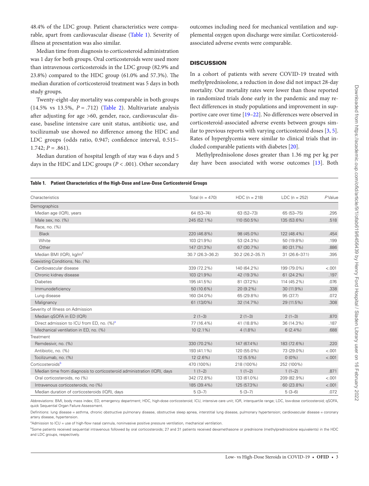48.4% of the LDC group. Patient characteristics were comparable, apart from cardiovascular disease [\(Table 1](#page-4-0)). Severity of illness at presentation was also similar.

Median time from diagnosis to corticosteroid administration was 1 day for both groups. Oral corticosteroids were used more than intravenous corticosteroids in the LDC group (82.9% and 23.8%) compared to the HDC group (61.0% and 57.3%). The median duration of corticosteroid treatment was 5 days in both study groups.

Twenty-eight-day mortality was comparable in both groups (14.5% vs 13.5%, *P* = .712) ([Table 2\)](#page-5-6). Multivariate analysis after adjusting for age >60, gender, race, cardiovascular disease, baseline intensive care unit status, antibiotic use, and tocilizumab use showed no difference among the HDC and LDC groups (odds ratio, 0.947; confidence interval, 0.515–  $1.742; P = .861$ ).

Median duration of hospital length of stay was 6 days and 5 days in the HDC and LDC groups (*P* < .001). Other secondary outcomes including need for mechanical ventilation and supplemental oxygen upon discharge were similar. Corticosteroidassociated adverse events were comparable.

### **DISCUSSION**

In a cohort of patients with severe COVID-19 treated with methylprednisolone, a reduction in dose did not impact 28-day mortality. Our mortality rates were lower than those reported in randomized trials done early in the pandemic and may reflect differences in study populations and improvement in supportive care over time [[19–](#page-6-7)[22\]](#page-6-8). No differences were observed in corticosteroid-associated adverse events between groups similar to previous reports with varying corticosteroid doses [\[3,](#page-5-7) [5](#page-5-1)]. Rates of hyperglycemia were similar to clinical trials that included comparable patients with diabetes [[20\]](#page-6-9).

Methylprednisolone doses greater than 1.36 mg per kg per day have been associated with worse outcomes [[13](#page-6-2)]. Both

#### <span id="page-4-0"></span>**Table 1. Patient Characteristics of the High-Dose and Low-Dose Corticosteroid Groups**

| Characteristics                                                         | Total ( $n = 470$ ) | $HDC (n = 218)$  | $LDC (n = 252)$ | PValue  |
|-------------------------------------------------------------------------|---------------------|------------------|-----------------|---------|
| Demographics                                                            |                     |                  |                 |         |
| Median age (IQR), years                                                 | 64 (53-74)          | 63 (52-73)       | 65 (53-75)      | .295    |
| Male sex, no. (%)                                                       | 245 (52.1%)         | 110 (50.5%)      | 135 (53.6%)     | .518    |
| Race, no. (%)                                                           |                     |                  |                 |         |
| <b>Black</b>                                                            | 220 (46.8%)         | 98 (45.0%)       | 122 (48.4%)     | .454    |
| White                                                                   | 103 (21.9%)         | 53 (24.3%)       | 50 (19.8%)      | .199    |
| Other                                                                   | 147 (31.3%)         | 67 (30.7%)       | 80 (31.7%)      | .886    |
| Median BMI (IQR), kg/m <sup>2</sup>                                     | 30.7 (26.3-36.2)    | 30.2 (26.2-35.7) | 31 (26.6-37.1)  | .395    |
| Coexisting Conditions, No. (%)                                          |                     |                  |                 |         |
| Cardiovascular disease                                                  | 339 (72.2%)         | 140 (64.2%)      | 199 (79.0%)     | $-.001$ |
| Chronic kidney disease                                                  | 103 (21.9%)         | 42 (19.3%)       | 61 (24.2%)      | .197    |
| <b>Diabetes</b>                                                         | 195 (41.5%)         | 81 (37.2%)       | 114 (45.2%)     | .076    |
| Immunodeficiency                                                        | 50 (10.6%)          | $20(9.2\%)$      | 30 (11.9%)      | .338    |
| Lung disease                                                            | 160 (34.0%)         | 65 (29.8%)       | 95 (37.7)       | .072    |
| Malignancy                                                              | 61 (13/0%)          | 32 (14.7%)       | 29 (11.5%)      | .308    |
| Severity of Illness on Admission                                        |                     |                  |                 |         |
| Median gSOFA in ED (IQR)                                                | $2(1-3)$            | $2(1-3)$         | $2(1-3)$        | .870    |
| Direct admission to ICU from ED, no. (%) <sup>a</sup>                   | 77 (16.4%)          | 41 (18.8%)       | 36 (14.3%)      | .187    |
| Mechanical ventilation in ED, no. (%)                                   | $10(2.1\%)$         | $4(1.8\%)$       | $6(2.4\%)$      | .688    |
| Treatment                                                               |                     |                  |                 |         |
| Remdesivir, no. (%)                                                     | 330 (70.2%)         | 147 (67.4%)      | 183 (72.6%)     | .220    |
| Antibiotic, no. (%)                                                     | 193 (41.1%)         | 120 (55.0%)      | 73 (29.0%)      | $-.001$ |
| Tocilizumab, no. (%)                                                    | $12(2.6\%)$         | 12 (5.5%)        | $0(0\%)$        | < .001  |
| Corticosteroids <sup>b</sup>                                            | 470 (100%)          | 218 (100%)       | 252 (100%)      |         |
| Median time from diagnosis to corticosteroid administration (IQR), days | $1(1-2)$            | $1(1-2)$         | $1(1-2)$        | .871    |
| Oral corticosteroids, no (%)                                            | 342 (72.8%)         | 133 (61.0%)      | 209 (82.9%)     | $-.001$ |
| Intravenous corticosteroids, no (%)                                     | 185 (39.4%)         | 125 (57.3%)      | 60 (23.8%)      | < .001  |
| Median duration of corticosteroids (IQR), days                          | $5(3-7)$            | $5(3-7)$         | $5(3-6)$        | .072    |

Abbreviations: BMI, body mass index; ED, emergency department; HDC, high-dose corticosteroid; ICU, intensive care unit; IQR, interquartile range; LDC, low-dose corticosteroid; qSOFA, quick Sequential Organ Failure Assessment.

Definitions: lung disease = asthma, chronic obstructive pulmonary disease, obstructive sleep apnea, interstitial lung disease, pulmonary hypertension; cardiovascular disease = coronary artery disease, hypertension.

<span id="page-4-1"></span><sup>a</sup>Admission to ICU = use of high-flow nasal cannula, noninvasive positive pressure ventilation, mechanical ventilation.

<span id="page-4-2"></span>**bSome patients received sequential intravenous followed by oral corticosteroids; 27 and 31 patients received dexamethasone or prednisone (methylprednisolone equivalents) in the HDC** and LDC groups, respectively.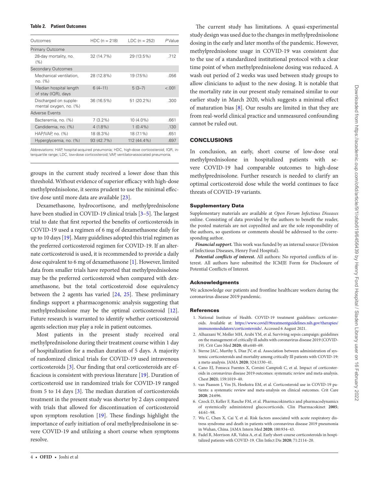#### <span id="page-5-6"></span>**Table 2. Patient Outcomes**

| Outcomes                                        | $HDC (n = 218)$ | $LDC (n = 252)$ | $P$ Value |
|-------------------------------------------------|-----------------|-----------------|-----------|
| Primary Outcome                                 |                 |                 |           |
| 28-day mortality, no.<br>(% )                   | 32 (14.7%)      | 29 (13.5%)      | .712      |
| Secondary Outcomes                              |                 |                 |           |
| Mechanical ventilation,<br>no. (%)              | 28 (12.8%)      | 19 (7.5%)       | .056      |
| Median hospital length<br>of stay (IQR), days   | $6(4-11)$       | $5(3-7)$        | < .001    |
| Discharged on supple-<br>mental oxygen, no. (%) | 36 (16.5%)      | 51 (20.2%)      | .300      |
| <b>Adverse Events</b>                           |                 |                 |           |
| Bacteremia, no. (%)                             | $7(3.2\%)$      | 10 (4.0%)       | .661      |
| Candidemia, no. (%)                             | $4(1.8\%)$      | $1(0.4\%)$      | .130      |
| $HAP/NAP$ , no. $(\%)$                          | 18 (8.3%)       | 18 (7.1%)       | .651      |
| Hyperglycemia, no. (%)                          | 93 (42.7%)      | 112 (44.4%)     | .697      |

Abbreviations: HAP, hospital-acquired pneumonia; HDC, high-dose corticosteroid; IQR, interquartile range; LDC, low-dose corticosteroid; VAP, ventilator-associated pneumonia.

groups in the current study received a lower dose than this threshold. Without evidence of superior efficacy with high-dose methylprednisolone, it seems prudent to use the minimal effective dose until more data are available [\[23](#page-6-10)].

Dexamethasone, hydrocortisone, and methylprednisolone have been studied in COVID-19 clinical trials [\[3](#page-5-7)[–5\]](#page-5-1). The largest trial to date that first reported the benefits of corticosteroids in COVID-19 used a regimen of 6 mg of dexamethasone daily for up to 10 days  $[19]$  $[19]$ . Many guidelines adopted this trial regimen as the preferred corticosteroid regimen for COVID-19. If an alternate corticosteroid is used, it is recommended to provide a daily dose equivalent to 6 mg of dexamethasone [\[1\]](#page-5-0). However, limited data from smaller trials have reported that methylprednisolone may be the preferred corticosteroid when compared with dexamethasone, but the total corticosteroid dose equivalency between the 2 agents has varied [\[24](#page-6-11), [25](#page-6-12)]. These preliminary findings support a pharmacogenomic analysis suggesting that methylprednisolone may be the optimal corticosteroid [[12\]](#page-6-1). Future research is warranted to identify whether corticosteroid agents selection may play a role in patient outcomes.

Most patients in the present study received oral methylprednisolone during their treatment course within 1 day of hospitalization for a median duration of 5 days. A majority of randomized clinical trials for COVID-19 used intravenous corticosteroids [[3](#page-5-7)]. Our finding that oral corticosteroids are efficacious is consistent with previous literature [[19\]](#page-6-7). Duration of corticosteroid use in randomized trials for COVID-19 ranged from 5 to 14 days [[3\]](#page-5-7). The median duration of corticosteroids treatment in the present study was shorter by 2 days compared with trials that allowed for discontinuation of corticosteroid upon symptom resolution [\[19](#page-6-7)]. These findings highlight the importance of early initiation of oral methylprednisolone in severe COVID-19 and utilizing a short course when symptoms resolve.

The current study has limitations. A quasi-experimental study design was used due to the changes in methylprednisolone dosing in the early and later months of the pandemic. However, methylprednisolone usage in COVID-19 was consistent due to the use of a standardized institutional protocol with a clear time point of when methylprednisolone dosing was reduced. A wash out period of 2 weeks was used between study groups to allow clinicians to adjust to the new dosing. It is notable that the mortality rate in our present study remained similar to our earlier study in March 2020, which suggests a minimal effect of maturation bias [[8](#page-5-4)]. Our results are limited in that they are from real-world clinical practice and unmeasured confounding cannot be ruled out.

#### **CONCLUSIONS**

In conclusion, an early, short course of low-dose oral methylprednisolone in hospitalized patients with severe COVID-19 had comparable outcomes to high-dose methylprednisolone. Further research is needed to clarify an optimal corticosteroid dose while the world continues to face threats of COVID-19 variants.

#### Supplementary Data

Supplementary materials are available at *Open Forum Infectious Diseases* online. Consisting of data provided by the authors to benefit the reader, the posted materials are not copyedited and are the sole responsibility of the authors, so questions or comments should be addressed to the corresponding author.

*Financial support.* This work was funded by an internal source (Division of Infectious Diseases, Henry Ford Hospital).

*Potential conflicts of interest.* All authors: No reported conflicts of interest. All authors have submitted the ICMJE Form for Disclosure of Potential Conflicts of Interest.

#### Acknowledgments

We acknowledge our patients and frontline healthcare workers during the coronavirus disease 2019 pandemic.

#### References

- <span id="page-5-0"></span>1. National Institute of Health. COVID-19 treatment guidelines: corticosteroids. Available at: [https://www.covid19treatmentguidelines.nih.gov/therapies/](https://www.covid19treatmentguidelines.nih.gov/therapies/immunomodulators/corticosteroids/) [immunomodulators/corticosteroids/.](https://www.covid19treatmentguidelines.nih.gov/therapies/immunomodulators/corticosteroids/) Accessed 6 August 2021.
- 2. Alhazzani W, Moller MH, Arabi YM, et al. Surviving sepsis campaign: guidelines on the management of critically ill adults with coronavirus disease 2019 (COVID-19). Crit Care Med **2020**; 48:e440–69.
- <span id="page-5-7"></span>3. Sterne JAC, Murthy S, Diaz JV, et al. Association between administration of systemic corticosteroids and mortality among critically Ill patients with COVID-19: a meta-analysis. JAMA **2020**; 324:1330–41.
- <span id="page-5-5"></span>4. Cano EJ, Fonseca Fuentes X, Corsini Campioli C, et al. Impact of corticosteroids in coronavirus disease 2019 outcomes: systematic review and meta-analysis. Chest **2021**; 159:1019–40.
- <span id="page-5-1"></span>5. van Paassen J, Vos JS, Hoekstra EM, et al. Corticosteroid use in COVID-19 patients: a systematic review and meta-analysis on clinical outcomes. Crit Care **2020**; 24:696.
- <span id="page-5-2"></span>6. Czock D, Keller F, Rasche FM, et al. Pharmacokinetics and pharmacodynamics of systemically administered glucocorticoids. Clin Pharmacokinet **2005**; 44:61–98.
- <span id="page-5-3"></span>7. Wu C, Chen X, Cai Y, et al. Risk factors associated with acute respiratory distress syndrome and death in patients with coronavirus disease 2019 pneumonia in Wuhan, China. JAMA Intern Med **2020**; 180:934–43.
- <span id="page-5-4"></span>8. Fadel R, Morrison AR, Vahia A, et al. Early short-course corticosteroids in hospitalized patients with COVID-19. Clin Infect Dis **2020**; 71:2114–20.